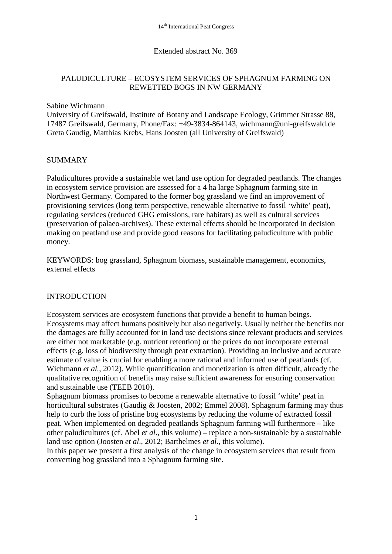## Extended abstract No. 369

# PALUDICULTURE – ECOSYSTEM SERVICES OF SPHAGNUM FARMING ON REWETTED BOGS IN NW GERMANY

#### Sabine Wichmann

University of Greifswald, Institute of Botany and Landscape Ecology, Grimmer Strasse 88, 17487 Greifswald, Germany, Phone/Fax: +49-3834-864143, wichmann@uni-greifswald.de Greta Gaudig, Matthias Krebs, Hans Joosten (all University of Greifswald)

## SUMMARY

Paludicultures provide a sustainable wet land use option for degraded peatlands. The changes in ecosystem service provision are assessed for a 4 ha large Sphagnum farming site in Northwest Germany. Compared to the former bog grassland we find an improvement of provisioning services (long term perspective, renewable alternative to fossil 'white' peat), regulating services (reduced GHG emissions, rare habitats) as well as cultural services (preservation of palaeo-archives). These external effects should be incorporated in decision making on peatland use and provide good reasons for facilitating paludiculture with public money.

KEYWORDS: bog grassland, Sphagnum biomass, sustainable management, economics, external effects

## INTRODUCTION

Ecosystem services are ecosystem functions that provide a benefit to human beings. Ecosystems may affect humans positively but also negatively. Usually neither the benefits nor the damages are fully accounted for in land use decisions since relevant products and services are either not marketable (e.g. nutrient retention) or the prices do not incorporate external effects (e.g. loss of biodiversity through peat extraction). Providing an inclusive and accurate estimate of value is crucial for enabling a more rational and informed use of peatlands (cf. Wichmann *et al.*, 2012). While quantification and monetization is often difficult, already the qualitative recognition of benefits may raise sufficient awareness for ensuring conservation and sustainable use (TEEB 2010).

Sphagnum biomass promises to become a renewable alternative to fossil 'white' peat in horticultural substrates (Gaudig & Joosten, 2002; Emmel 2008). Sphagnum farming may thus help to curb the loss of pristine bog ecosystems by reducing the volume of extracted fossil peat. When implemented on degraded peatlands Sphagnum farming will furthermore – like other paludicultures (cf. Abel *et al*., this volume) – replace a non-sustainable by a sustainable land use option (Joosten *et al*., 2012; Barthelmes *et al*., this volume).

In this paper we present a first analysis of the change in ecosystem services that result from converting bog grassland into a Sphagnum farming site.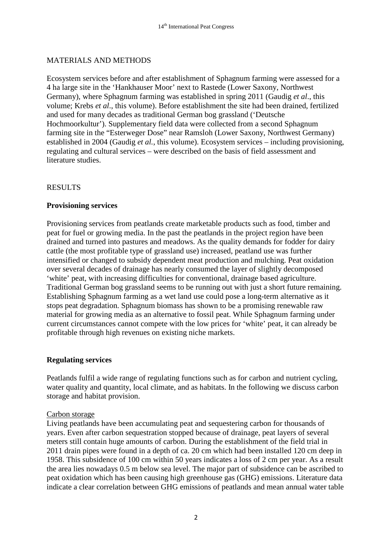# MATERIALS AND METHODS

Ecosystem services before and after establishment of Sphagnum farming were assessed for a 4 ha large site in the 'Hankhauser Moor' next to Rastede (Lower Saxony, Northwest Germany), where Sphagnum farming was established in spring 2011 (Gaudig *et al*., this volume; Krebs *et al*., this volume). Before establishment the site had been drained, fertilized and used for many decades as traditional German bog grassland ('Deutsche Hochmoorkultur'). Supplementary field data were collected from a second Sphagnum farming site in the "Esterweger Dose" near Ramsloh (Lower Saxony, Northwest Germany) established in 2004 (Gaudig *et al.*, this volume). Ecosystem services – including provisioning, regulating and cultural services – were described on the basis of field assessment and literature studies.

## RESULTS

## **Provisioning services**

Provisioning services from peatlands create marketable products such as food, timber and peat for fuel or growing media. In the past the peatlands in the project region have been drained and turned into pastures and meadows. As the quality demands for fodder for dairy cattle (the most profitable type of grassland use) increased, peatland use was further intensified or changed to subsidy dependent meat production and mulching. Peat oxidation over several decades of drainage has nearly consumed the layer of slightly decomposed 'white' peat, with increasing difficulties for conventional, drainage based agriculture. Traditional German bog grassland seems to be running out with just a short future remaining. Establishing Sphagnum farming as a wet land use could pose a long-term alternative as it stops peat degradation. Sphagnum biomass has shown to be a promising renewable raw material for growing media as an alternative to fossil peat. While Sphagnum farming under current circumstances cannot compete with the low prices for 'white' peat, it can already be profitable through high revenues on existing niche markets.

## **Regulating services**

Peatlands fulfil a wide range of regulating functions such as for carbon and nutrient cycling, water quality and quantity, local climate, and as habitats. In the following we discuss carbon storage and habitat provision.

#### Carbon storage

Living peatlands have been accumulating peat and sequestering carbon for thousands of years. Even after carbon sequestration stopped because of drainage, peat layers of several meters still contain huge amounts of carbon. During the establishment of the field trial in 2011 drain pipes were found in a depth of ca. 20 cm which had been installed 120 cm deep in 1958. This subsidence of 100 cm within 50 years indicates a loss of 2 cm per year. As a result the area lies nowadays 0.5 m below sea level. The major part of subsidence can be ascribed to peat oxidation which has been causing high greenhouse gas (GHG) emissions. Literature data indicate a clear correlation between GHG emissions of peatlands and mean annual water table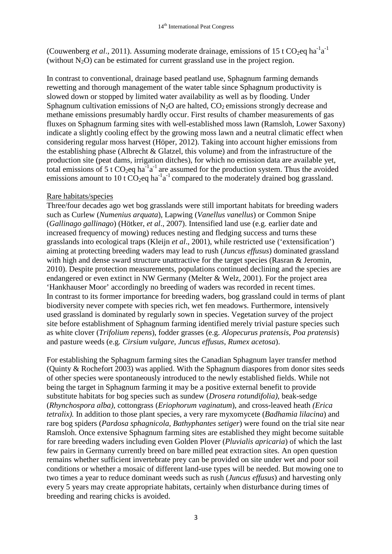(Couwenberg *et al.*, 2011). Assuming moderate drainage, emissions of 15 t CO<sub>2</sub>eq ha<sup>-1</sup>a<sup>-1</sup> (without  $N_2O$ ) can be estimated for current grassland use in the project region.

In contrast to conventional, drainage based peatland use, Sphagnum farming demands rewetting and thorough management of the water table since Sphagnum productivity is slowed down or stopped by limited water availability as well as by flooding. Under Sphagnum cultivation emissions of  $N_2O$  are halted,  $CO_2$  emissions strongly decrease and methane emissions presumably hardly occur. First results of chamber measurements of gas fluxes on Sphagnum farming sites with well-established moss lawn (Ramsloh, Lower Saxony) indicate a slightly cooling effect by the growing moss lawn and a neutral climatic effect when considering regular moss harvest (Höper, 2012). Taking into account higher emissions from the establishing phase (Albrecht  $\&$  Glatzel, this volume) and from the infrastructure of the production site (peat dams, irrigation ditches), for which no emission data are available yet, total emissions of 5 t  $CO_2$ eq ha<sup>-1</sup> a<sup>-1</sup> are assumed for the production system. Thus the avoided emissions amount to 10 t  $CO_2$ eq ha<sup>-1</sup> compared to the moderately drained bog grassland.

## Rare habitats/species

Three/four decades ago wet bog grasslands were still important habitats for breeding waders such as Curlew (*Numenius arquata*), Lapwing (*Vanellus vanellus*) or Common Snipe (*Gallinago gallinago*) (Hötker, *et al*., 2007). Intensified land use (e.g. earlier date and increased frequency of mowing) reduces nesting and fledging success and turns these grasslands into ecological traps (Kleijn *et al*., 2001), while restricted use ('extensification') aiming at protecting breeding waders may lead to rush (*Juncus effusus*) dominated grassland with high and dense sward structure unattractive for the target species (Rasran & Jeromin, 2010). Despite protection measurements, populations continued declining and the species are endangered or even extinct in NW Germany (Melter & Welz, 2001). For the project area 'Hankhauser Moor' accordingly no breeding of waders was recorded in recent times. In contrast to its former importance for breeding waders, bog grassland could in terms of plant biodiversity never compete with species rich, wet fen meadows. Furthermore, intensively used grassland is dominated by regularly sown in species. Vegetation survey of the project site before establishment of Sphagnum farming identified merely trivial pasture species such as white clover (*Trifolium repens*), fodder grasses (e.g. *Alopecurus pratensis, Poa pratensis*) and pasture weeds (e.g*. Cirsium vulgare*, *Juncus effusus*, *Rumex acetosa*).

For establishing the Sphagnum farming sites the Canadian Sphagnum layer transfer method (Quinty & Rochefort 2003) was applied. With the Sphagnum diaspores from donor sites seeds of other species were spontaneously introduced to the newly established fields. While not being the target in Sphagnum farming it may be a positive external benefit to provide substitute habitats for bog species such as sundew (*Drosera rotundifolia),* beak-sedge (*Rhynchospora alba),* cottongrass (*Eriophorum vaginatum*)*,* and cross-leaved heath *(Erica tetralix).* In addition to those plant species, a very rare myxomycete (*Badhamia lilacina*) and rare bog spiders (*Pardosa sphagnicola, Bathyphantes setiger*) were found on the trial site near Ramsloh. Once extensive Sphagnum farming sites are established they might become suitable for rare breeding waders including even Golden Plover (*Pluvialis apricaria*) of which the last few pairs in Germany currently breed on bare milled peat extraction sites. An open question remains whether sufficient invertebrate prey can be provided on site under wet and poor soil conditions or whether a mosaic of different land-use types will be needed. But mowing one to two times a year to reduce dominant weeds such as rush (*Juncus effusus*) and harvesting only every 5 years may create appropriate habitats, certainly when disturbance during times of breeding and rearing chicks is avoided.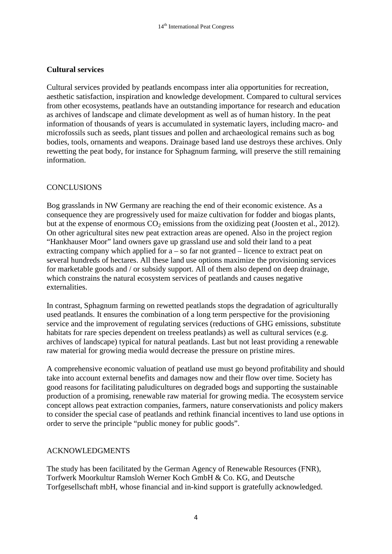# **Cultural services**

Cultural services provided by peatlands encompass inter alia opportunities for recreation, aesthetic satisfaction, inspiration and knowledge development. Compared to cultural services from other ecosystems, peatlands have an outstanding importance for research and education as archives of landscape and climate development as well as of human history. In the peat information of thousands of years is accumulated in systematic layers, including macro- and microfossils such as seeds, plant tissues and pollen and archaeological remains such as bog bodies, tools, ornaments and weapons. Drainage based land use destroys these archives. Only rewetting the peat body, for instance for Sphagnum farming, will preserve the still remaining information.

#### **CONCLUSIONS**

Bog grasslands in NW Germany are reaching the end of their economic existence. As a consequence they are progressively used for maize cultivation for fodder and biogas plants, but at the expense of enormous  $CO<sub>2</sub>$  emissions from the oxidizing peat (Joosten et al., 2012). On other agricultural sites new peat extraction areas are opened. Also in the project region "Hankhauser Moor" land owners gave up grassland use and sold their land to a peat extracting company which applied for a – so far not granted – licence to extract peat on several hundreds of hectares. All these land use options maximize the provisioning services for marketable goods and / or subsidy support. All of them also depend on deep drainage, which constrains the natural ecosystem services of peatlands and causes negative externalities.

In contrast, Sphagnum farming on rewetted peatlands stops the degradation of agriculturally used peatlands. It ensures the combination of a long term perspective for the provisioning service and the improvement of regulating services (reductions of GHG emissions, substitute habitats for rare species dependent on treeless peatlands) as well as cultural services (e.g. archives of landscape) typical for natural peatlands. Last but not least providing a renewable raw material for growing media would decrease the pressure on pristine mires.

A comprehensive economic valuation of peatland use must go beyond profitability and should take into account external benefits and damages now and their flow over time. Society has good reasons for facilitating paludicultures on degraded bogs and supporting the sustainable production of a promising, renewable raw material for growing media. The ecosystem service concept allows peat extraction companies, farmers, nature conservationists and policy makers to consider the special case of peatlands and rethink financial incentives to land use options in order to serve the principle "public money for public goods".

## ACKNOWLEDGMENTS

The study has been facilitated by the German Agency of Renewable Resources (FNR), Torfwerk Moorkultur Ramsloh Werner Koch GmbH & Co. KG, and Deutsche Torfgesellschaft mbH, whose financial and in-kind support is gratefully acknowledged.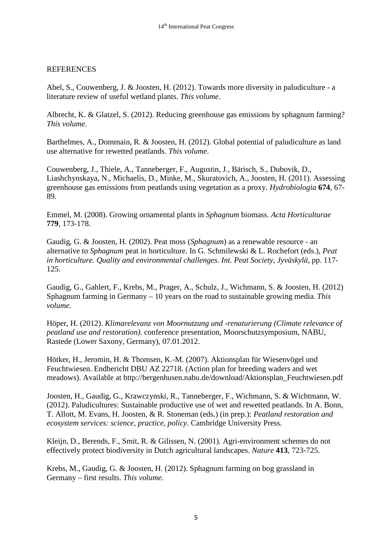#### **REFERENCES**

Abel, S., Couwenberg, J. & Joosten, H. (2012). Towards more diversity in paludiculture - a literature review of useful wetland plants. *This volume*.

Albrecht, K. & Glatzel, S. (2012). Reducing greenhouse gas emissions by sphagnum farming? *This volume*.

Barthelmes, A., Dommain, R. & Joosten, H. (2012). Global potential of paludiculture as land use alternative for rewetted peatlands. *This volume*.

Couwenberg, J., Thiele, A., Tanneberger, F., Augustin, J., Bärisch, S., Dubovik, D., Liashchynskaya, N., Michaelis, D., Minke, M., Skuratovich, A., Joosten, H. (2011). Assessing greenhouse gas emissions from peatlands using vegetation as a proxy. *Hydrobiologia* **674**, 67- 89.

Emmel, M. (2008). Growing ornamental plants in *Sphagnum* biomass. *Acta Horticulturae* **779**, 173-178.

Gaudig, G. & Joosten, H. (2002). Peat moss (*Sphagnum*) as a renewable resource - an alternative to *Sphagnum* peat in horticulture. In G. Schmilewski & L. Rochefort (eds.), *Peat in horticulture. Quality and environmental challenges. Int. Peat Society, Jyväskylä*, pp. 117- 125.

Gaudig, G., Gahlert, F., Krebs, M., Prager, A., Schulz, J., Wichmann, S. & Joosten, H. (2012) Sphagnum farming in Germany – 10 years on the road to sustainable growing media*. This volume*.

Höper, H. (2012). *Klimarelevanz von Moornutzung und -renaturierung (Climate relevance of peatland use and restoration)*. conference presentation, Moorschutzsymposium, NABU, Rastede (Lower Saxony, Germany), 07.01.2012.

Hötker, H., Jeromin, H. & Thomsen, K.-M. (2007). Aktionsplan für Wiesenvögel und Feuchtwiesen. Endbericht DBU AZ 22718. (Action plan for breeding waders and wet meadows). Available at [http://bergenhusen.nabu.de/download/Aktionsplan\\_Feuchtwiesen.pdf](http://bergenhusen.nabu.de/download/Aktionsplan_Feuchtwiesen.pdf)

Joosten, H., Gaudig, G., Krawczynski, R., Tanneberger, F., Wichmann, S. & Wichtmann, W. (2012). Paludicultures: Sustainable productive use of wet and rewetted peatlands. In A. Bonn, T. Allott, M. Evans, H. Joosten, & R. Stoneman (eds.) (in prep.): *Peatland restoration and ecosystem services: science, practice, policy*. Cambridge University Press.

Kleijn, D., Berends, F., Smit, R. & Gilissen, N. (2001). Agri-environment schemes do not effectively protect biodiversity in Dutch agricultural landscapes. *Nature* **413**, 723-725.

Krebs, M., Gaudig, G. & Joosten, H. (2012). Sphagnum farming on bog grassland in Germany – first results. *This volume*.